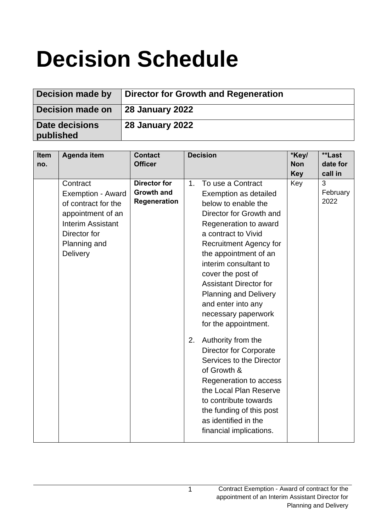# **Decision Schedule**

| Decision made by            | Director for Growth and Regeneration |
|-----------------------------|--------------------------------------|
| Decision made on            | 28 January 2022                      |
| Date decisions<br>published | <b>28 January 2022</b>               |

| <b>Item</b><br>no. | <b>Agenda item</b>                                                                                                                                | <b>Contact</b><br><b>Officer</b>                         | <b>Decision</b>                                                                                                                                                                                                                                                                                                                                                                                                                                                                                                                                                                                                                                                      | *Key/<br><b>Non</b><br><b>Key</b> | **Last<br>date for<br>call in |
|--------------------|---------------------------------------------------------------------------------------------------------------------------------------------------|----------------------------------------------------------|----------------------------------------------------------------------------------------------------------------------------------------------------------------------------------------------------------------------------------------------------------------------------------------------------------------------------------------------------------------------------------------------------------------------------------------------------------------------------------------------------------------------------------------------------------------------------------------------------------------------------------------------------------------------|-----------------------------------|-------------------------------|
|                    | Contract<br>Exemption - Award<br>of contract for the<br>appointment of an<br><b>Interim Assistant</b><br>Director for<br>Planning and<br>Delivery | <b>Director for</b><br><b>Growth and</b><br>Regeneration | To use a Contract<br>1.<br>Exemption as detailed<br>below to enable the<br>Director for Growth and<br>Regeneration to award<br>a contract to Vivid<br><b>Recruitment Agency for</b><br>the appointment of an<br>interim consultant to<br>cover the post of<br><b>Assistant Director for</b><br><b>Planning and Delivery</b><br>and enter into any<br>necessary paperwork<br>for the appointment.<br>Authority from the<br>2.<br><b>Director for Corporate</b><br>Services to the Director<br>of Growth &<br>Regeneration to access<br>the Local Plan Reserve<br>to contribute towards<br>the funding of this post<br>as identified in the<br>financial implications. | Key                               | 3<br>February<br>2022         |